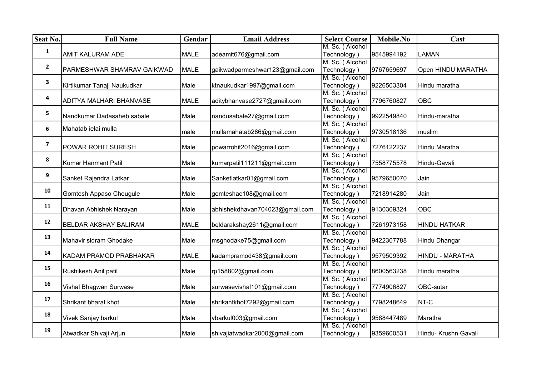| Seat No.     | <b>Full Name</b>             | Gendar      | <b>Email Address</b>           | <b>Select Course</b>           | Mobile.No  | Cast                 |
|--------------|------------------------------|-------------|--------------------------------|--------------------------------|------------|----------------------|
|              |                              |             |                                | M. Sc. (Alcohol                |            |                      |
| 1            | <b>AMIT KALURAM ADE</b>      | MALE        | adeamit676@gmail.com           | Technology)                    | 9545994192 | <b>LAMAN</b>         |
| $\mathbf{2}$ |                              |             |                                | M. Sc. (Alcohol                |            |                      |
|              | PARMESHWAR SHAMRAV GAIKWAD   | MALE        | gaikwadparmeshwar123@gmail.com | Technology)                    | 9767659697 | Open HINDU MARATHA   |
| 3            |                              |             |                                | M. Sc. (Alcohol                |            |                      |
|              | Kirtikumar Tanaji Naukudkar  | Male        | ktnaukudkar1997@gmail.com      | Technology)                    | 9226503304 | Hindu maratha        |
| 4            |                              |             |                                | M. Sc. (Alcohol                |            |                      |
|              | ADITYA MALHARI BHANVASE      | <b>MALE</b> | aditybhanvase2727@gmail.com    | Technology)                    | 7796760827 | <b>OBC</b>           |
| 5            |                              |             |                                | M. Sc. (Alcohol                |            |                      |
|              | Nandkumar Dadasaheb sabale   | Male        | nandusabale27@gmail.com        | Technology)                    | 9922549840 | Hindu-maratha        |
| 6            | Mahatab ielai mulla          |             |                                | M. Sc. (Alcohol                |            |                      |
|              |                              | male        | mullamahatab286@gmail.com      | Technology)                    | 9730518136 | muslim               |
| 7            |                              |             |                                | M. Sc. (Alcohol                |            |                      |
|              | <b>POWAR ROHIT SURESH</b>    | Male        | powarrohit2016@gmail.com       | Technology)                    | 7276122237 | Hindu Maratha        |
| 8            |                              |             |                                | M. Sc. (Alcohol                |            |                      |
|              | Kumar Hanmant Patil          | Male        | kumarpatil111211@gmail.com     | Technology)                    | 7558775578 | Hindu-Gavali         |
| 9            |                              |             |                                | M. Sc. (Alcohol                |            |                      |
|              | Sanket Rajendra Latkar       | Male        | Sanketlatkar01@gmail.com       | Technology)                    | 9579650070 | Jain                 |
| 10           |                              |             |                                | M. Sc. (Alcohol                |            |                      |
|              | Gomtesh Appaso Chougule      | Male        | gomteshac108@gmail.com         | Technology)                    | 7218914280 | Jain                 |
| 11           |                              |             |                                | M. Sc. (Alcohol                |            |                      |
|              | Dhavan Abhishek Narayan      | Male        | abhishekdhavan704023@gmail.com | Technology)<br>M. Sc. (Alcohol | 9130309324 | <b>OBC</b>           |
| 12           | <b>BELDAR AKSHAY BALIRAM</b> | MALE        |                                |                                |            |                      |
|              |                              |             | beldarakshay2611@gmail.com     | Technology)<br>M. Sc. (Alcohol | 7261973158 | <b>HINDU HATKAR</b>  |
| 13           | Mahavir sidram Ghodake       | Male        | msghodake75@gmail.com          | Technology)                    | 9422307788 | Hindu Dhangar        |
|              |                              |             |                                | M. Sc. (Alcohol                |            |                      |
| 14           | KADAM PRAMOD PRABHAKAR       | <b>MALE</b> | kadampramod438@gmail.com       | Technology)                    | 9579509392 | HINDU - MARATHA      |
|              |                              |             |                                | M. Sc. (Alcohol                |            |                      |
| 15           | Rushikesh Anil patil         | Male        | rp158802@gmail.com             | Technology)                    | 8600563238 | Hindu maratha        |
|              |                              |             |                                | M. Sc. (Alcohol                |            |                      |
| 16           | Vishal Bhagwan Surwase       | Male        | surwasevishal101@gmail.com     | Technology)                    | 7774906827 | OBC-sutar            |
|              |                              |             |                                | M. Sc. (Alcohol                |            |                      |
| 17           | Shrikant bharat khot         | Male        | shrikantkhot7292@gmail.com     | Technology)                    | 7798248649 | NT-C                 |
|              |                              |             |                                | M. Sc. (Alcohol                |            |                      |
| 18           | Vivek Sanjay barkul          | Male        | vbarkul003@gmail.com           | Technology)                    | 9588447489 | Maratha              |
|              |                              |             |                                | M. Sc. (Alcohol                |            |                      |
| 19           | Atwadkar Shivaji Arjun       | Male        | shivajiatwadkar2000@gmail.com  | Technology)                    | 9359600531 | Hindu- Krushn Gavali |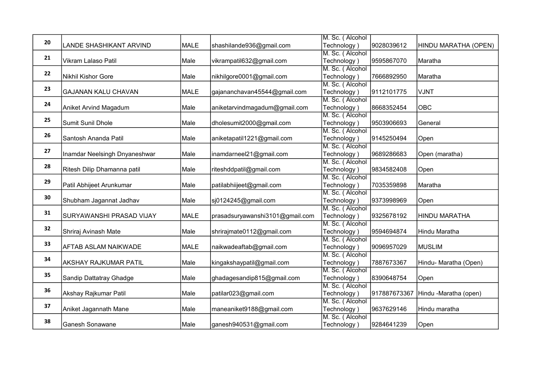|    |                                 |             |                                 | M. Sc. (Alcohol |              |                       |
|----|---------------------------------|-------------|---------------------------------|-----------------|--------------|-----------------------|
| 20 | LANDE SHASHIKANT ARVIND         | <b>MALE</b> | shashilande936@gmail.com        | Technology)     | 9028039612   | HINDU MARATHA (OPEN)  |
|    |                                 |             |                                 | M. Sc. (Alcohol |              |                       |
| 21 | Vikram Lalaso Patil             | Male        | vikrampatil632@gmail.com        | Technology)     | 9595867070   | Maratha               |
|    |                                 |             |                                 | M. Sc. (Alcohol |              |                       |
| 22 | Nikhil Kishor Gore              | Male        | nikhilgore0001@gmail.com        | Technology)     | 7666892950   | Maratha               |
| 23 |                                 |             |                                 | M. Sc. (Alcohol |              |                       |
|    | <b>GAJANAN KALU CHAVAN</b>      | <b>MALE</b> | gajananchavan45544@gmail.com    | Technology)     | 9112101775   | <b>VJNT</b>           |
| 24 |                                 |             |                                 | M. Sc. (Alcohol |              |                       |
|    | Aniket Arvind Magadum           | Male        | aniketarvindmagadum@gmail.com   | Technology)     | 8668352454   | OBC                   |
| 25 |                                 |             |                                 | M. Sc. (Alcohol |              |                       |
|    | Sumit Sunil Dhole               | Male        | dholesumit2000@gmail.com        | Technology)     | 9503906693   | General               |
| 26 |                                 |             |                                 | M. Sc. (Alcohol |              |                       |
|    | Santosh Ananda Patil            | Male        | aniketapatil1221@gmail.com      | Technology)     | 9145250494   | Open                  |
| 27 |                                 |             |                                 | M. Sc. (Alcohol |              |                       |
|    | Inamdar Neelsingh Dnyaneshwar   | Male        | inamdarneel21@gmail.com         | Technology)     | 9689286683   | Open (maratha)        |
|    |                                 |             |                                 | M. Sc. (Alcohol |              |                       |
| 28 | Ritesh Dilip Dhamanna patil     | Male        | riteshddpatil@gmail.com         | Technology)     | 9834582408   | Open                  |
|    |                                 |             |                                 | M. Sc. (Alcohol |              |                       |
| 29 | Patil Abhijeet Arunkumar        | Male        | patilabhiijeet@gmail.com        | Technology)     | 7035359898   | Maratha               |
|    |                                 |             |                                 | M. Sc. (Alcohol |              |                       |
| 30 | Shubham Jagannat Jadhav         | Male        | sj0124245@gmail.com             | Technology)     | 9373998969   | Open                  |
| 31 |                                 |             |                                 | M. Sc. (Alcohol |              |                       |
|    | <b>SURYAWANSHI PRASAD VIJAY</b> | MALE        | prasadsuryawanshi3101@gmail.com | Technology)     | 9325678192   | HINDU MARATHA         |
| 32 |                                 |             |                                 | M. Sc. (Alcohol |              |                       |
|    | Shriraj Avinash Mate            | Male        | shrirajmate0112@gmail.com       | Technology)     | 9594694874   | Hindu Maratha         |
| 33 |                                 |             |                                 | M. Sc. (Alcohol |              |                       |
|    | <b>AFTAB ASLAM NAIKWADE</b>     | <b>MALE</b> | naikwadeaftab@gmail.com         | Technology)     | 9096957029   | MUSLIM                |
| 34 |                                 |             |                                 | M. Sc. (Alcohol |              |                       |
|    | AKSHAY RAJKUMAR PATIL           | Male        | kingakshaypatil@gmail.com       | Technology)     | 7887673367   | Hindu- Maratha (Open) |
| 35 |                                 |             |                                 | M. Sc. (Alcohol |              |                       |
|    | Sandip Dattatray Ghadge         | Male        | ghadagesandip815@gmail.com      | Technology)     | 8390648754   | Open                  |
| 36 |                                 |             |                                 | M. Sc. (Alcohol |              |                       |
|    | Akshay Rajkumar Patil           | Male        | patilar023@gmail.com            | Technology)     | 917887673367 | Hindu -Maratha (open) |
|    |                                 |             |                                 | M. Sc. (Alcohol |              |                       |
| 37 | Aniket Jagannath Mane           | Male        | maneaniket9188@gmail.com        | Technology)     | 9637629146   | Hindu maratha         |
| 38 |                                 |             |                                 | M. Sc. (Alcohol |              |                       |
|    | Ganesh Sonawane                 | Male        | ganesh940531@gmail.com          | Technology)     | 9284641239   | Open                  |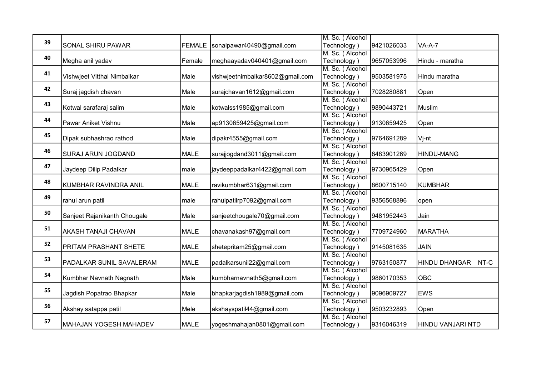|    |                              |               |                                  | M. Sc. (Alcohol |            |                              |
|----|------------------------------|---------------|----------------------------------|-----------------|------------|------------------------------|
| 39 | SONAL SHIRU PAWAR            | <b>FEMALE</b> | sonalpawar40490@gmail.com        | Technology)     | 9421026033 | $VA-A-7$                     |
|    |                              |               |                                  | M. Sc. (Alcohol |            |                              |
| 40 | Megha anil yadav             | Female        | meghaayadav040401@gmail.com      | Technology)     | 9657053996 | Hindu - maratha              |
|    |                              |               |                                  | M. Sc. (Alcohol |            |                              |
| 41 | Vishwjeet Vitthal Nimbalkar  | Male          | vishwjeetnimbalkar8602@gmail.com | Technology)     | 9503581975 | Hindu maratha                |
|    |                              |               |                                  | M. Sc. (Alcohol |            |                              |
| 42 | Suraj jagdish chavan         | Male          | surajchavan1612@gmail.com        | Technology)     | 7028280881 | Open                         |
|    |                              |               |                                  | M. Sc. (Alcohol |            |                              |
| 43 | Kotwal sarafaraj salim       | Male          | kotwalss1985@gmail.com           | Technology)     | 9890443721 | <b>Muslim</b>                |
|    |                              |               |                                  | M. Sc. (Alcohol |            |                              |
| 44 | Pawar Aniket Vishnu          | Male          | ap9130659425@gmail.com           | Technology)     | 9130659425 | Open                         |
|    |                              |               |                                  | M. Sc. (Alcohol |            |                              |
| 45 | Dipak subhashrao rathod      | Male          | dipakr4555@gmail.com             | Technology)     | 9764691289 | Vj-nt                        |
|    |                              |               |                                  | M. Sc. (Alcohol |            |                              |
| 46 | SURAJ ARUN JOGDAND           | <b>MALE</b>   | surajjogdand3011@gmail.com       | Technology)     | 8483901269 | <b>HINDU-MANG</b>            |
|    |                              |               |                                  | M. Sc. (Alcohol |            |                              |
| 47 | Jaydeep Dilip Padalkar       | male          | jaydeeppadalkar4422@gmail.com    | Technology)     | 9730965429 | Open                         |
|    |                              |               |                                  | M. Sc. (Alcohol |            |                              |
| 48 | KUMBHAR RAVINDRA ANIL        | MALE          | ravikumbhar631@gmail.com         | Technology)     | 8600715140 | <b>KUMBHAR</b>               |
|    |                              |               |                                  | M. Sc. (Alcohol |            |                              |
| 49 | rahul arun patil             | male          | rahulpatilrp7092@gmail.com       | Technology)     | 9356568896 | open                         |
|    |                              |               |                                  | M. Sc. (Alcohol |            |                              |
| 50 | Sanjeet Rajanikanth Chougale | Male          | sanjeetchougale70@gmail.com      | Technology)     | 9481952443 | Jain                         |
| 51 |                              |               |                                  | M. Sc. (Alcohol |            |                              |
|    | <b>AKASH TANAJI CHAVAN</b>   | MALE          | chavanakash97@gmail.com          | Technology)     | 7709724960 | MARATHA                      |
| 52 |                              |               |                                  | M. Sc. (Alcohol |            |                              |
|    | PRITAM PRASHANT SHETE        | MALE          | shetepritam25@gmail.com          | Technology)     | 9145081635 | <b>JAIN</b>                  |
| 53 |                              |               |                                  | M. Sc. (Alcohol |            |                              |
|    | PADALKAR SUNIL SAVALERAM     | <b>MALE</b>   | padalkarsunil22@gmail.com        | Technology)     | 9763150877 | NT-C<br><b>HINDU DHANGAR</b> |
| 54 |                              |               |                                  | M. Sc. (Alcohol |            |                              |
|    | Kumbhar Navnath Nagnath      | Male          | kumbharnavnath5@gmail.com        | Technology)     | 9860170353 | <b>OBC</b>                   |
| 55 |                              |               |                                  | M. Sc. (Alcohol |            |                              |
|    | Jagdish Popatrao Bhapkar     | Male          | bhapkarjagdish1989@gmail.com     | Technology)     | 9096909727 | <b>EWS</b>                   |
| 56 |                              |               |                                  | M. Sc. (Alcohol |            |                              |
|    | Akshay satappa patil         | Mele          | akshayspatil44@gmail.com         | Technology)     | 9503232893 | Open                         |
| 57 |                              |               |                                  | M. Sc. (Alcohol |            |                              |
|    | MAHAJAN YOGESH MAHADEV       | <b>MALE</b>   | yogeshmahajan0801@gmail.com      | Technology)     | 9316046319 | <b>HINDU VANJARI NTD</b>     |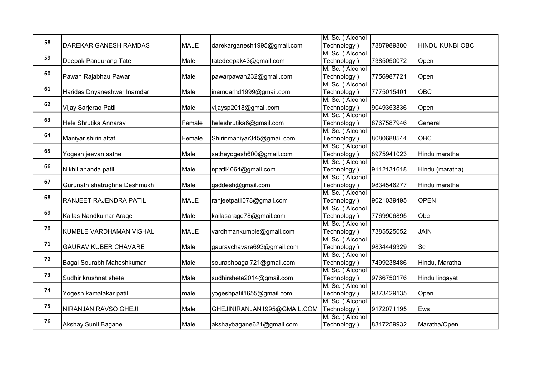|    |                              |        |                             | M. Sc. (Alcohol                |            |                        |
|----|------------------------------|--------|-----------------------------|--------------------------------|------------|------------------------|
| 58 | DAREKAR GANESH RAMDAS        | MALE   | darekarganesh1995@gmail.com | Technology)                    | 7887989880 | <b>HINDU KUNBI OBC</b> |
| 59 |                              |        |                             | M. Sc. (Alcohol                |            |                        |
|    | Deepak Pandurang Tate        | Male   | tatedeepak43@gmail.com      | Technology)                    | 7385050072 | Open                   |
| 60 |                              |        |                             | M. Sc. (Alcohol                |            |                        |
|    | Pawan Rajabhau Pawar         | Male   | pawarpawan232@gmail.com     | Technology)                    | 7756987721 | Open                   |
| 61 |                              |        |                             | M. Sc. (Alcohol                |            |                        |
|    | Haridas Dnyaneshwar Inamdar  | Male   | inamdarhd1999@gmail.com     | Technology)                    | 7775015401 | <b>OBC</b>             |
| 62 |                              |        |                             | M. Sc. (Alcohol                |            |                        |
|    | Vijay Sarjerao Patil         | Male   | vijaysp2018@gmail.com       | Technology)                    | 9049353836 | Open                   |
| 63 |                              |        |                             | M. Sc. (Alcohol                |            |                        |
|    | Hele Shrutika Annarav        | Female | heleshrutika6@gmail.com     | Technology)                    | 8767587946 | General                |
| 64 |                              |        |                             | M. Sc. (Alcohol                |            |                        |
|    | Maniyar shirin altaf         | Female | Shirinmaniyar345@gmail.com  | Technology)                    | 8080688544 | <b>OBC</b>             |
| 65 |                              |        |                             | M. Sc. (Alcohol                |            |                        |
|    | Yogesh jeevan sathe          | Male   | satheyogesh600@gmail.com    | Technology)                    | 8975941023 | Hindu maratha          |
| 66 |                              |        |                             | M. Sc. (Alcohol                |            |                        |
|    | Nikhil ananda patil          | Male   | npatil4064@gmail.com        | Technology)                    | 9112131618 | Hindu (maratha)        |
| 67 |                              |        |                             | M. Sc. (Alcohol                |            |                        |
|    | Gurunath shatrughna Deshmukh | Male   | gsddesh@gmail.com           | Technology)                    | 9834546277 | Hindu maratha          |
| 68 |                              |        |                             | M. Sc. (Alcohol                |            |                        |
|    | RANJEET RAJENDRA PATIL       | MALE   | ranjeetpatil078@gmail.com   | Technology)<br>M. Sc. (Alcohol | 9021039495 | <b>OPEN</b>            |
| 69 |                              |        |                             | Technology)                    | 7769906895 | Obc                    |
|    | Kailas Nandkumar Arage       | Male   | kailasarage78@gmail.com     | M. Sc. (Alcohol                |            |                        |
| 70 | KUMBLE VARDHAMAN VISHAL      | MALE   | vardhmankumble@gmail.com    | Technology)                    | 7385525052 | <b>JAIN</b>            |
|    |                              |        |                             | M. Sc. (Alcohol                |            |                        |
| 71 | <b>GAURAV KUBER CHAVARE</b>  | Male   | gauravchavare693@gmail.com  | Technology)                    | 9834449329 | Sc                     |
|    |                              |        |                             | M. Sc. (Alcohol                |            |                        |
| 72 | Bagal Sourabh Maheshkumar    | Male   | sourabhbagal721@gmail.com   | Technology)                    | 7499238486 | Hindu, Maratha         |
|    |                              |        |                             | M. Sc. (Alcohol                |            |                        |
| 73 | Sudhir krushnat shete        | Male   | sudhirshete2014@gmail.com   | Technology)                    | 9766750176 | Hindu lingayat         |
|    |                              |        |                             | M. Sc. (Alcohol                |            |                        |
| 74 | Yogesh kamalakar patil       | male   | yogeshpatil1655@gmail.com   | Technology)                    | 9373429135 | Open                   |
|    |                              |        |                             | M. Sc. (Alcohol                |            |                        |
| 75 | NIRANJAN RAVSO GHEJI         | Male   | GHEJINIRANJAN1995@GMAIL.COM | Technology)                    | 9172071195 | Ews                    |
|    |                              |        |                             | M. Sc. (Alcohol                |            |                        |
| 76 | Akshay Sunil Bagane          | Male   | akshaybagane621@gmail.com   | Technology)                    | 8317259932 | Maratha/Open           |
|    |                              |        |                             |                                |            |                        |